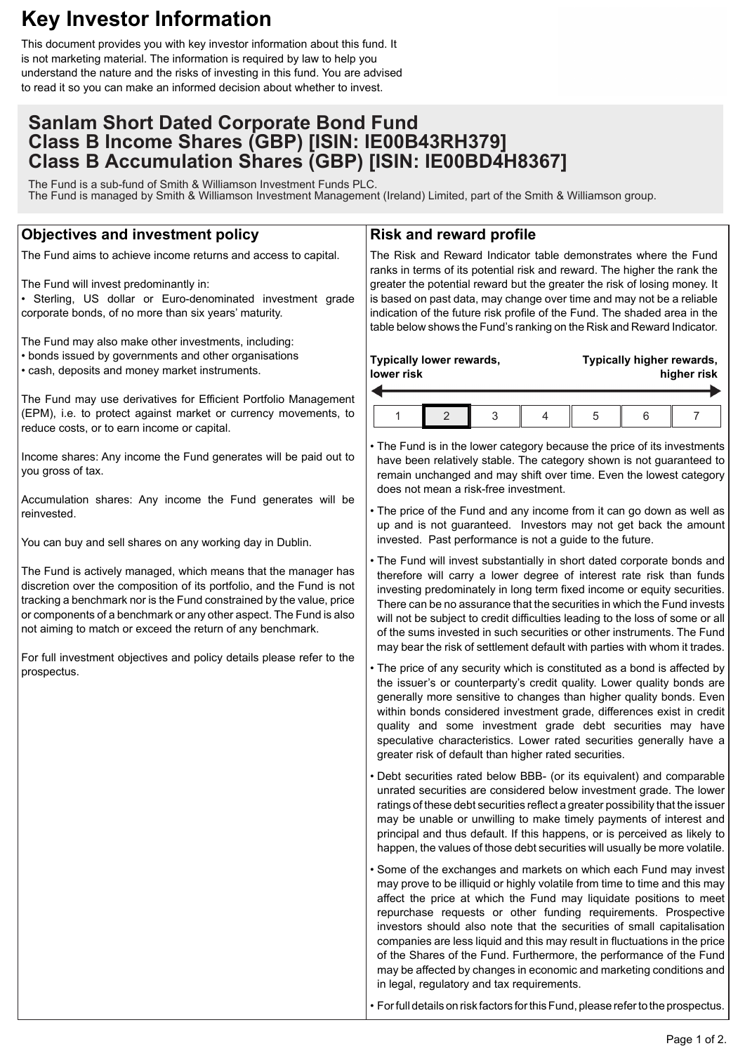# **Key Investor Information**

This document provides you with key investor information about this fund. It is not marketing material. The information is required by law to help you understand the nature and the risks of investing in this fund. You are advised to read it so you can make an informed decision about whether to invest.

# **Sanlam Short Dated Corporate Bond Fund Class B Income Shares (GBP) [ISIN: IE00B43RH379] Class B Accumulation Shares (GBP) [ISIN: IE00BD4H8367]**

The Fund is a sub-fund of Smith & Williamson Investment Funds PLC. The Fund is managed by Smith & Williamson Investment Management (Ireland) Limited, part of the Smith & Williamson group.

## **Objectives and investment policy**

The Fund aims to achieve income returns and access to capital.

The Fund will invest predominantly in:

• Sterling, US dollar or Euro-denominated investment grade corporate bonds, of no more than six years' maturity.

The Fund may also make other investments, including: • bonds issued by governments and other organisations • cash, deposits and money market instruments.

The Fund may use derivatives for Efficient Portfolio Management (EPM), i.e. to protect against market or currency movements, to reduce costs, or to earn income or capital.

Income shares: Any income the Fund generates will be paid out to you gross of tax.

Accumulation shares: Any income the Fund generates will be reinvested.

You can buy and sell shares on any working day in Dublin.

The Fund is actively managed, which means that the manager has discretion over the composition of its portfolio, and the Fund is not tracking a benchmark nor is the Fund constrained by the value, price or components of a benchmark or any other aspect. The Fund is also not aiming to match or exceed the return of any benchmark.

For full investment objectives and policy details please refer to the prospectus.

### **Risk and reward profile**

The Risk and Reward Indicator table demonstrates where the Fund ranks in terms of its potential risk and reward. The higher the rank the greater the potential reward but the greater the risk of losing money. It is based on past data, may change over time and may not be a reliable indication of the future risk profile of the Fund. The shaded area in the table below shows the Fund's ranking on the Risk and Reward Indicator.

| Typically lower rewards, |  |   |  | Typically higher rewards, |  |  |
|--------------------------|--|---|--|---------------------------|--|--|
| lower risk               |  |   |  | higher risk               |  |  |
|                          |  | 3 |  | b                         |  |  |

• The Fund is in the lower category because the price of its investments have been relatively stable. The category shown is not guaranteed to remain unchanged and may shift over time. Even the lowest category does not mean a risk-free investment.

• The price of the Fund and any income from it can go down as well as up and is not guaranteed. Investors may not get back the amount invested. Past performance is not a guide to the future.

• The Fund will invest substantially in short dated corporate bonds and therefore will carry a lower degree of interest rate risk than funds investing predominately in long term fixed income or equity securities. There can be no assurance that the securities in which the Fund invests will not be subject to credit difficulties leading to the loss of some or all of the sums invested in such securities or other instruments. The Fund may bear the risk of settlement default with parties with whom it trades.

• The price of any security which is constituted as a bond is affected by the issuer's or counterparty's credit quality. Lower quality bonds are generally more sensitive to changes than higher quality bonds. Even within bonds considered investment grade, differences exist in credit quality and some investment grade debt securities may have speculative characteristics. Lower rated securities generally have a greater risk of default than higher rated securities.

• Debt securities rated below BBB- (or its equivalent) and comparable unrated securities are considered below investment grade. The lower ratings of these debt securities reflect a greater possibility that the issuer may be unable or unwilling to make timely payments of interest and principal and thus default. If this happens, or is perceived as likely to happen, the values of those debt securities will usually be more volatile.

• Some of the exchanges and markets on which each Fund may invest may prove to be illiquid or highly volatile from time to time and this may affect the price at which the Fund may liquidate positions to meet repurchase requests or other funding requirements. Prospective investors should also note that the securities of small capitalisation companies are less liquid and this may result in fluctuations in the price of the Shares of the Fund. Furthermore, the performance of the Fund may be affected by changes in economic and marketing conditions and in legal, regulatory and tax requirements.

• For full details on risk factors for this Fund, please refer to the prospectus.